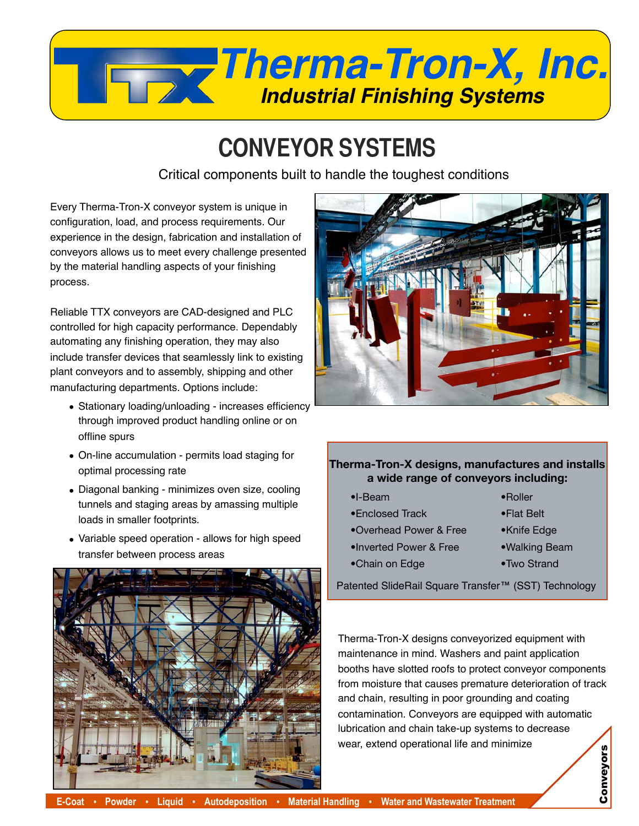

## **CONVEYOR SYSTEMS**

Critical components built to handle the toughest conditions

Every Therma-Tron-X conveyor system is unique in configuration, load, and process requirements. Our experience in the design, fabrication and installation of conveyors allows us to meet every challenge presented by the material handling aspects of your finishing process.

Reliable TTX conveyors are CAD-designed and PLC controlled for high capacity performance. Dependably automating any finishing operation, they may also include transfer devices that seamlessly link to existing plant conveyors and to assembly, shipping and other manufacturing departments. Options include:

- Stationary loading/unloading increases efficiency through improved product handling online or on offline spurs
- On-line accumulation permits load staging for optimal processing rate
- Diagonal banking minimizes oven size, cooling tunnels and staging areas by amassing multiple loads in smaller footprints.
- Variable speed operation allows for high speed transfer between process areas





## **Therma-Tron-X designs, manufactures and installs a wide range of conveyors including:**

- •I-Beam
- •Enclosed Track
- •Overhead Power & Free
- •Inverted Power & Free
- •Chain on Edge
- •Knife Edge

•Roller •Flat Belt

- •Walking Beam
- •Two Strand

Patented SlideRail Square Transfer™ (SST) Technology

Therma-Tron-X designs conveyorized equipment with maintenance in mind. Washers and paint application booths have slotted roofs to protect conveyor components from moisture that causes premature deterioration of track and chain, resulting in poor grounding and coating contamination. Conveyors are equipped with automatic lubrication and chain take-up systems to decrease wear, extend operational life and minimize Conveyors Conveyors